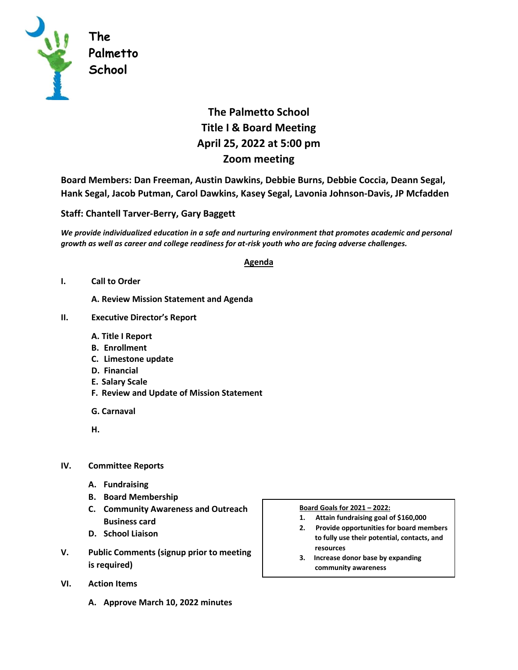

## **The Palmetto School Title I & Board Meeting April 25, 2022 at 5:00 pm Zoom meeting**

**Board Members: Dan Freeman, Austin Dawkins, Debbie Burns, Debbie Coccia, Deann Segal, Hank Segal, Jacob Putman, Carol Dawkins, Kasey Segal, Lavonia Johnson-Davis, JP Mcfadden**

## **Staff: Chantell Tarver-Berry, Gary Baggett**

*We provide individualized education in a safe and nurturing environment that promotes academic and personal growth as well as career and college readiness for at-risk youth who are facing adverse challenges.* 

## **Agenda**

**I. Call to Order** 

**A. Review Mission Statement and Agenda**

- **II. Executive Director's Report** 
	- **A. Title I Report**
	- **B. Enrollment**
	- **C. Limestone update**
	- **D. Financial**
	- **E. Salary Scale**
	- **F. Review and Update of Mission Statement**
	- **G. Carnaval**
	- **H.**
- **IV. Committee Reports**
	- **A. Fundraising**
	- **B. Board Membership**
	- **C. Community Awareness and Outreach Business card**
	- **D. School Liaison**
- **V. Public Comments (signup prior to meeting is required)**
- **VI. Action Items**
	- **A. Approve March 10, 2022 minutes**

## **Board Goals for 2021 – 2022:**

- **1. Attain fundraising goal of \$160,000**
- **2. Provide opportunities for board members to fully use their potential, contacts, and resources**
- **3. Increase donor base by expanding community awareness**